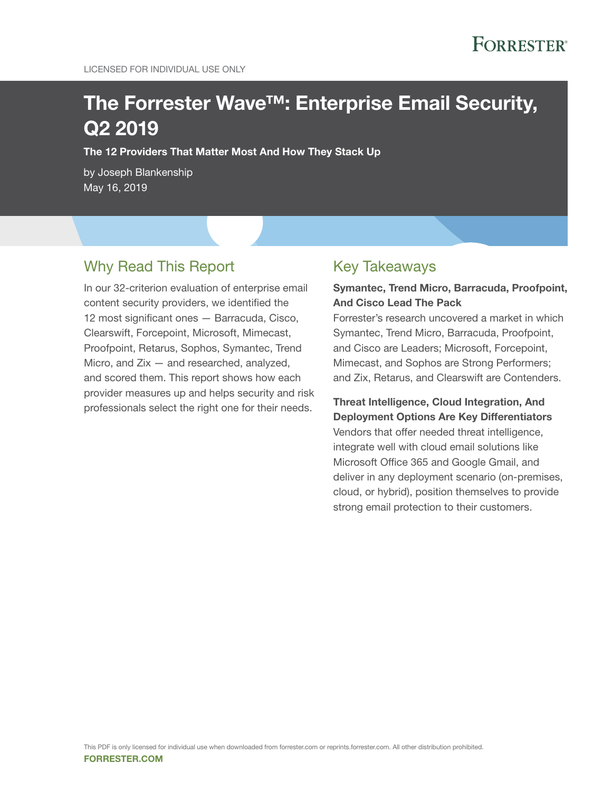# The Forrester Wave™: Enterprise Email Security, Q2 2019

The 12 Providers That Matter Most And How They Stack Up

by Joseph Blankenship May 16, 2019

## Why Read This Report

In our 32-criterion evaluation of enterprise email content security providers, we identified the 12 most significant ones — Barracuda, Cisco, Clearswift, Forcepoint, Microsoft, Mimecast, Proofpoint, Retarus, Sophos, Symantec, Trend Micro, and Zix — and researched, analyzed, and scored them. This report shows how each provider measures up and helps security and risk professionals select the right one for their needs.

## Key Takeaways

### Symantec, Trend Micro, Barracuda, Proofpoint, And Cisco Lead The Pack

Forrester's research uncovered a market in which Symantec, Trend Micro, Barracuda, Proofpoint, and Cisco are Leaders; Microsoft, Forcepoint, Mimecast, and Sophos are Strong Performers; and Zix, Retarus, and Clearswift are Contenders.

Threat Intelligence, Cloud Integration, And Deployment Options Are Key Differentiators Vendors that offer needed threat intelligence, integrate well with cloud email solutions like Microsoft Office 365 and Google Gmail, and deliver in any deployment scenario (on-premises, cloud, or hybrid), position themselves to provide strong email protection to their customers.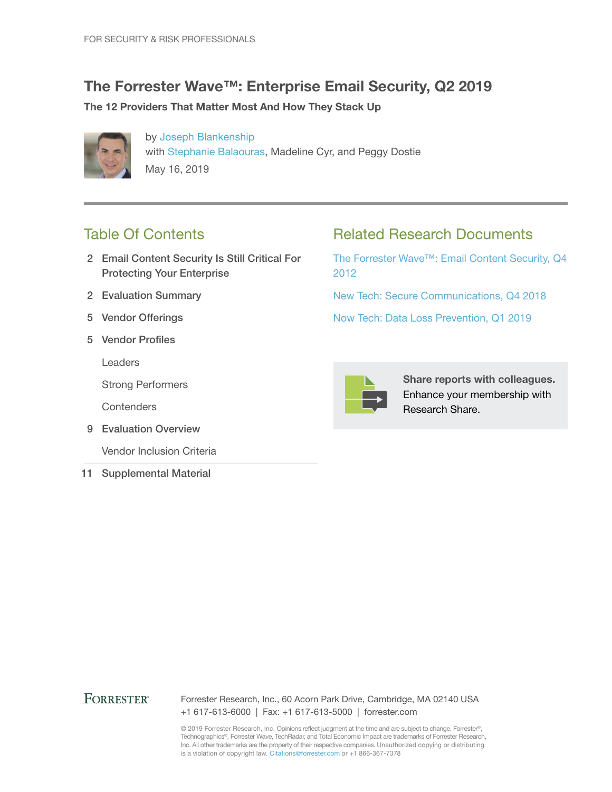## The Forrester Wave™: Enterprise Email Security, Q2 2019

### The 12 Providers That Matter Most And How They Stack Up



by [Joseph Blankenship](http://www.forrester.com/go?objectid=BIO10765) with [Stephanie Balaouras](http://www.forrester.com/go?objectid=BIO1123), Madeline Cyr, and Peggy Dostie May 16, 2019

## Table Of Contents

- 2 Email Content Security Is Still Critical For Protecting Your Enterprise
- 2 Evaluation Summary
- 5 Vendor Offerings
- 5 Vendor Profiles

Leaders

Strong Performers

**Contenders** 

9 Evaluation Overview

Vendor Inclusion Criteria

11 Supplemental Material

## Related Research Documents

[The Forrester Wave™: Email Content Security, Q4](http://www.forrester.com/go?objectid=RES61559)  [2012](http://www.forrester.com/go?objectid=RES61559)

[New Tech: Secure Communications, Q4 2018](http://www.forrester.com/go?objectid=RES142695)

[Now Tech: Data Loss Prevention, Q1 2019](http://www.forrester.com/go?objectid=RES141687)



Share reports with colleagues. Enhance your membership with Research Share.

### **FORRESTER®**

Forrester Research, Inc., 60 Acorn Park Drive, Cambridge, MA 02140 USA +1 617-613-6000 | Fax: +1 617-613-5000 | forrester.com

© 2019 Forrester Research, Inc. Opinions reflect judgment at the time and are subject to change. Forrester®, Technographics®, Forrester Wave, TechRadar, and Total Economic Impact are trademarks of Forrester Research, Inc. All other trademarks are the property of their respective companies. Unauthorized copying or distributing is a violation of copyright law. Citations@forrester.com or +1 866-367-7378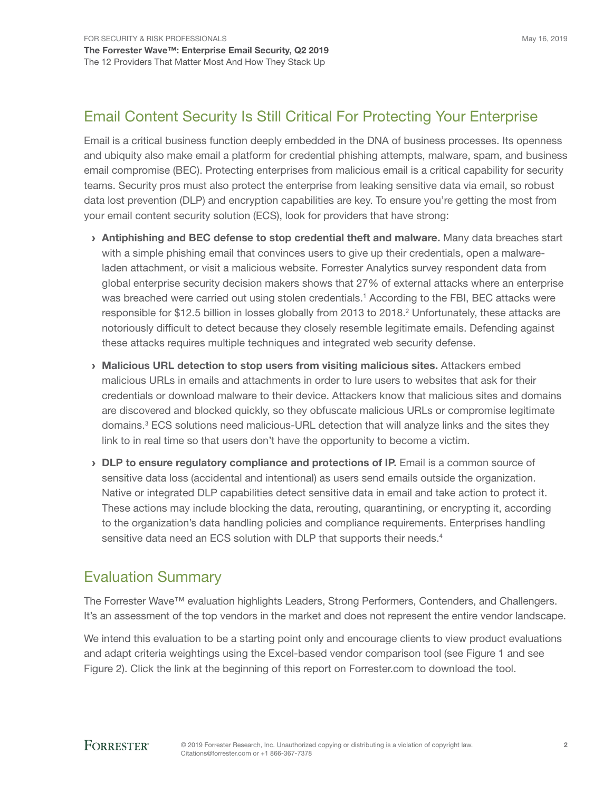## Email Content Security Is Still Critical For Protecting Your Enterprise

Email is a critical business function deeply embedded in the DNA of business processes. Its openness and ubiquity also make email a platform for credential phishing attempts, malware, spam, and business email compromise (BEC). Protecting enterprises from malicious email is a critical capability for security teams. Security pros must also protect the enterprise from leaking sensitive data via email, so robust data lost prevention (DLP) and encryption capabilities are key. To ensure you're getting the most from your email content security solution (ECS), look for providers that have strong:

- › Antiphishing and BEC defense to stop credential theft and malware. Many data breaches start with a simple phishing email that convinces users to give up their credentials, open a malwareladen attachment, or visit a malicious website. Forrester Analytics survey respondent data from global enterprise security decision makers shows that 27% of external attacks where an enterprise was breached were carried out using stolen credentials.<sup>1</sup> According to the FBI, BEC attacks were responsible for \$12.5 billion in losses globally from 2013 to 2018.<sup>2</sup> Unfortunately, these attacks are notoriously difficult to detect because they closely resemble legitimate emails. Defending against these attacks requires multiple techniques and integrated web security defense.
- › Malicious URL detection to stop users from visiting malicious sites. Attackers embed malicious URLs in emails and attachments in order to lure users to websites that ask for their credentials or download malware to their device. Attackers know that malicious sites and domains are discovered and blocked quickly, so they obfuscate malicious URLs or compromise legitimate domains.<sup>3</sup> ECS solutions need malicious-URL detection that will analyze links and the sites they link to in real time so that users don't have the opportunity to become a victim.
- › DLP to ensure regulatory compliance and protections of IP. Email is a common source of sensitive data loss (accidental and intentional) as users send emails outside the organization. Native or integrated DLP capabilities detect sensitive data in email and take action to protect it. These actions may include blocking the data, rerouting, quarantining, or encrypting it, according to the organization's data handling policies and compliance requirements. Enterprises handling sensitive data need an ECS solution with DLP that supports their needs.<sup>4</sup>

## Evaluation Summary

The Forrester Wave™ evaluation highlights Leaders, Strong Performers, Contenders, and Challengers. It's an assessment of the top vendors in the market and does not represent the entire vendor landscape.

We intend this evaluation to be a starting point only and encourage clients to view product evaluations and adapt criteria weightings using the Excel-based vendor comparison tool (see Figure 1 and see Figure 2). Click the link at the beginning of this report on Forrester.com to download the tool.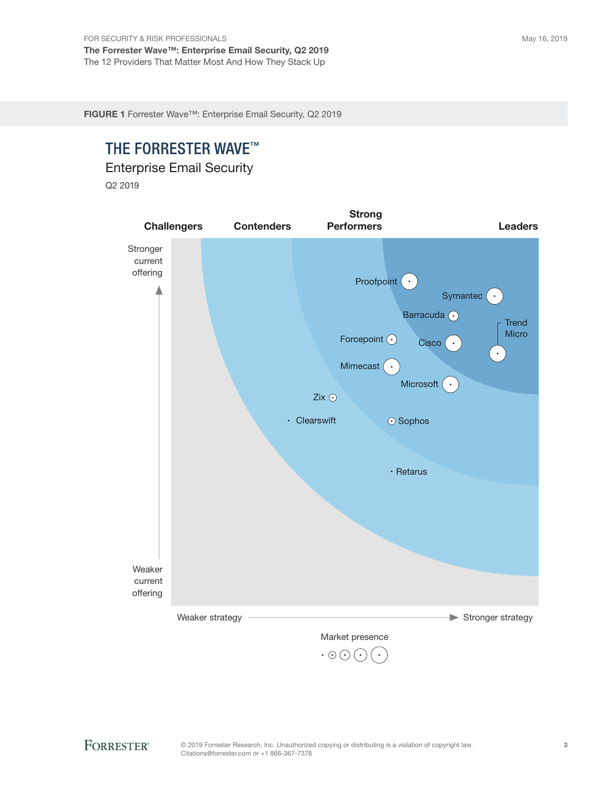FIGURE 1 Forrester Wave™: Enterprise Email Security, Q2 2019

## THE FORRESTER WAVE™

Enterprise Email Security

Q2 2019

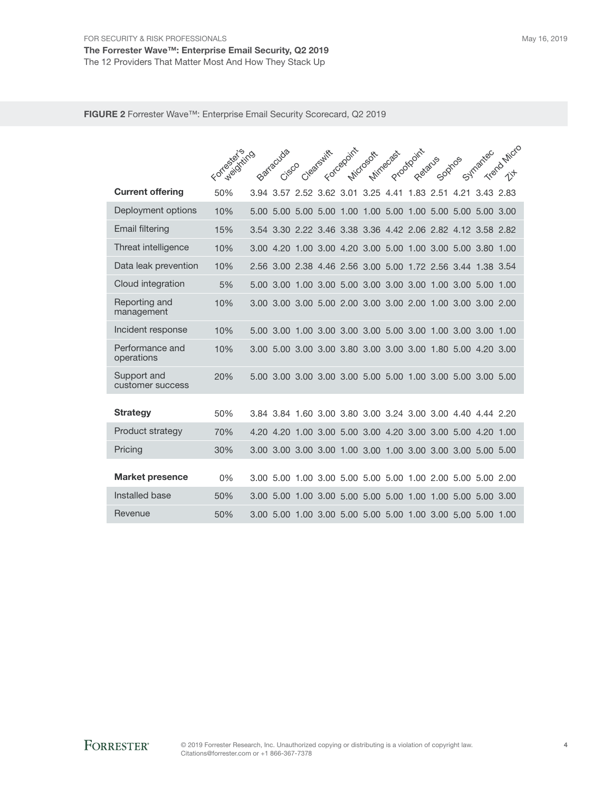FIGURE 2 Forrester Wave™: Enterprise Email Security Scorecard, Q2 2019

|                                 | For production |      | Barracuda<br>Cisco |                                              | Clearshift | Forcegoint               | Microsoft | Mirnecast | Proofpoint<br>Retains | Sophos |                                                             | Symantec  | Trend Micro |
|---------------------------------|----------------|------|--------------------|----------------------------------------------|------------|--------------------------|-----------|-----------|-----------------------|--------|-------------------------------------------------------------|-----------|-------------|
|                                 |                |      |                    |                                              |            |                          |           |           |                       |        |                                                             |           |             |
| <b>Current offering</b>         | 50%            |      |                    | 3.94 3.57 2.52 3.62 3.01 3.25 4.41 1.83 2.51 |            |                          |           |           |                       |        | 4.21                                                        | 3.43 2.83 |             |
| Deployment options              | 10%            | 5.00 | 5.00               | 5.00 5.00                                    |            |                          |           |           |                       |        | 1.00 1.00 5.00 1.00 5.00 5.00 5.00 3.00                     |           |             |
| <b>Email filtering</b>          | 15%            | 3.54 |                    |                                              |            |                          |           |           |                       |        | 3.30 2.22 3.46 3.38 3.36 4.42 2.06 2.82 4.12                | 3.58 2.82 |             |
| Threat intelligence             | 10%            |      |                    |                                              |            |                          |           |           |                       |        | 3.00 4.20 1.00 3.00 4.20 3.00 5.00 1.00 3.00 5.00 3.80      |           | 1.00        |
| Data leak prevention            | 10%            |      |                    |                                              |            |                          |           |           |                       |        | 2.56 3.00 2.38 4.46 2.56 3.00 5.00 1.72 2.56 3.44 1.38 3.54 |           |             |
| Cloud integration               | 5%             | 5.00 | 3.00               |                                              |            |                          |           |           |                       |        | 1.00 3.00 5.00 3.00 3.00 3.00 1.00 3.00 5.00                |           | 1.00        |
| Reporting and<br>management     | 10%            | 3.00 |                    |                                              |            |                          |           |           |                       |        | 3.00 3.00 5.00 2.00 3.00 3.00 2.00 1.00 3.00 3.00 2.00      |           |             |
| Incident response               | 10%            | 5.00 | 3.00               | 1.003.00                                     |            |                          |           |           |                       |        | 3.00 3.00 5.00 3.00 1.00 3.00 3.00                          |           | 1.00        |
| Performance and<br>operations   | 10%            | 3.00 |                    |                                              |            |                          |           |           |                       |        | 5.00 3.00 3.00 3.80 3.00 3.00 3.00 1.80 5.00                | 4.20 3.00 |             |
| Support and<br>customer success | 20%            |      |                    |                                              |            |                          |           |           |                       |        | 5.00 3.00 3.00 3.00 3.00 5.00 5.00 1.00 3.00 5.00 3.00 5.00 |           |             |
| <b>Strategy</b>                 | 50%            |      |                    |                                              |            |                          |           |           |                       |        | 3.84 3.84 1.60 3.00 3.80 3.00 3.24 3.00 3.00 4.40 4.44 2.20 |           |             |
| Product strategy                | 70%            |      | 4.20 4.20          | 1.00, 3.00                                   |            |                          |           |           |                       |        | 5.00 3.00 4.20 3.00 3.00 5.00 4.20                          |           | 1.00        |
| Pricing                         | 30%            |      |                    |                                              |            |                          |           |           |                       |        |                                                             |           |             |
| <b>Market presence</b>          | 0%             |      |                    |                                              |            |                          |           |           |                       |        | 3.00 5.00 1.00 3.00 5.00 5.00 5.00 1.00 2.00 5.00 5.00 2.00 |           |             |
| Installed base                  | 50%            | 3.00 | 5.00               | 1.00                                         | 3.00       | 5.00 5.00 5.00 1.00 1.00 |           |           |                       |        | 5.00                                                        | 5.00 3.00 |             |
| Revenue                         | 50%            |      |                    |                                              |            |                          |           |           |                       |        | 3.00 5.00 1.00 3.00 5.00 5.00 5.00 1.00 3.00 5.00 5.00 1.00 |           |             |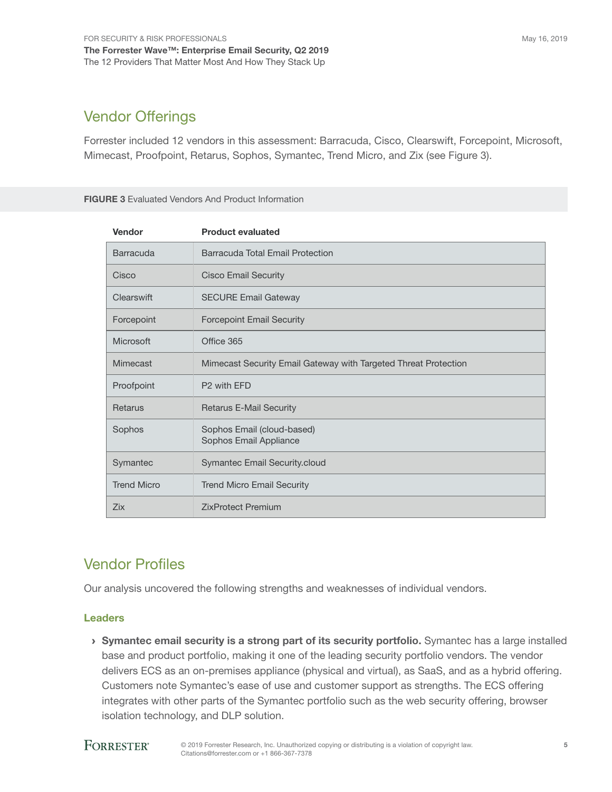## Vendor Offerings

Forrester included 12 vendors in this assessment: Barracuda, Cisco, Clearswift, Forcepoint, Microsoft, Mimecast, Proofpoint, Retarus, Sophos, Symantec, Trend Micro, and Zix (see Figure 3).

#### FIGURE 3 Evaluated Vendors And Product Information

| Vendor             | <b>Product evaluated</b>                                        |
|--------------------|-----------------------------------------------------------------|
| Barracuda          | Barracuda Total Email Protection                                |
| Cisco              | <b>Cisco Email Security</b>                                     |
| Clearswift         | <b>SECURE Email Gateway</b>                                     |
| Forcepoint         | <b>Forcepoint Email Security</b>                                |
| Microsoft          | Office 365                                                      |
| Mimecast           | Mimecast Security Email Gateway with Targeted Threat Protection |
| Proofpoint         | P <sub>2</sub> with EFD                                         |
| <b>Retarus</b>     | <b>Retarus E-Mail Security</b>                                  |
| Sophos             | Sophos Email (cloud-based)<br>Sophos Email Appliance            |
| Symantec           | Symantec Email Security.cloud                                   |
| <b>Trend Micro</b> | <b>Trend Micro Email Security</b>                               |
| Zix                | <b>ZixProtect Premium</b>                                       |

## Vendor Profiles

Our analysis uncovered the following strengths and weaknesses of individual vendors.

### Leaders

› Symantec email security is a strong part of its security portfolio. Symantec has a large installed base and product portfolio, making it one of the leading security portfolio vendors. The vendor delivers ECS as an on-premises appliance (physical and virtual), as SaaS, and as a hybrid offering. Customers note Symantec's ease of use and customer support as strengths. The ECS offering integrates with other parts of the Symantec portfolio such as the web security offering, browser isolation technology, and DLP solution.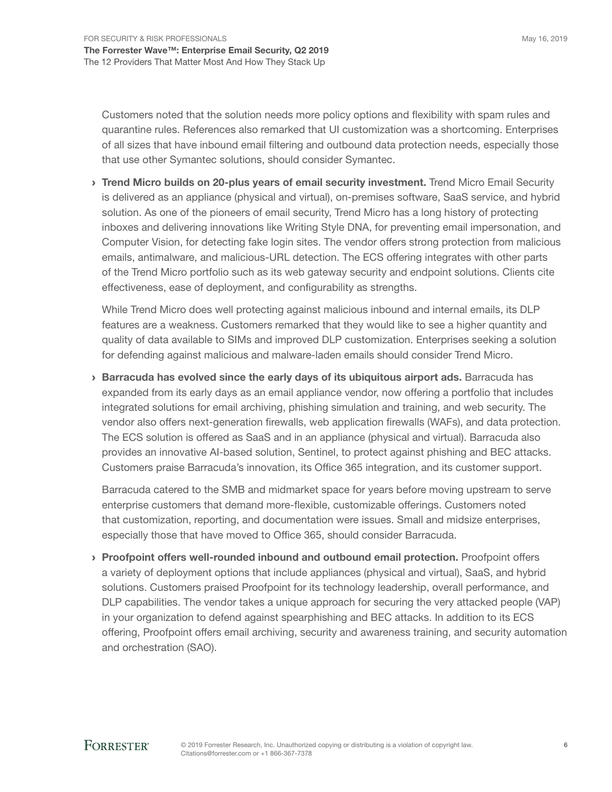Customers noted that the solution needs more policy options and flexibility with spam rules and quarantine rules. References also remarked that UI customization was a shortcoming. Enterprises of all sizes that have inbound email filtering and outbound data protection needs, especially those that use other Symantec solutions, should consider Symantec.

> Trend Micro builds on 20-plus years of email security investment. Trend Micro Email Security is delivered as an appliance (physical and virtual), on-premises software, SaaS service, and hybrid solution. As one of the pioneers of email security, Trend Micro has a long history of protecting inboxes and delivering innovations like Writing Style DNA, for preventing email impersonation, and Computer Vision, for detecting fake login sites. The vendor offers strong protection from malicious emails, antimalware, and malicious-URL detection. The ECS offering integrates with other parts of the Trend Micro portfolio such as its web gateway security and endpoint solutions. Clients cite effectiveness, ease of deployment, and configurability as strengths.

While Trend Micro does well protecting against malicious inbound and internal emails, its DLP features are a weakness. Customers remarked that they would like to see a higher quantity and quality of data available to SIMs and improved DLP customization. Enterprises seeking a solution for defending against malicious and malware-laden emails should consider Trend Micro.

› Barracuda has evolved since the early days of its ubiquitous airport ads. Barracuda has expanded from its early days as an email appliance vendor, now offering a portfolio that includes integrated solutions for email archiving, phishing simulation and training, and web security. The vendor also offers next-generation firewalls, web application firewalls (WAFs), and data protection. The ECS solution is offered as SaaS and in an appliance (physical and virtual). Barracuda also provides an innovative AI-based solution, Sentinel, to protect against phishing and BEC attacks. Customers praise Barracuda's innovation, its Office 365 integration, and its customer support.

Barracuda catered to the SMB and midmarket space for years before moving upstream to serve enterprise customers that demand more-flexible, customizable offerings. Customers noted that customization, reporting, and documentation were issues. Small and midsize enterprises, especially those that have moved to Office 365, should consider Barracuda.

› Proofpoint offers well-rounded inbound and outbound email protection. Proofpoint offers a variety of deployment options that include appliances (physical and virtual), SaaS, and hybrid solutions. Customers praised Proofpoint for its technology leadership, overall performance, and DLP capabilities. The vendor takes a unique approach for securing the very attacked people (VAP) in your organization to defend against spearphishing and BEC attacks. In addition to its ECS offering, Proofpoint offers email archiving, security and awareness training, and security automation and orchestration (SAO).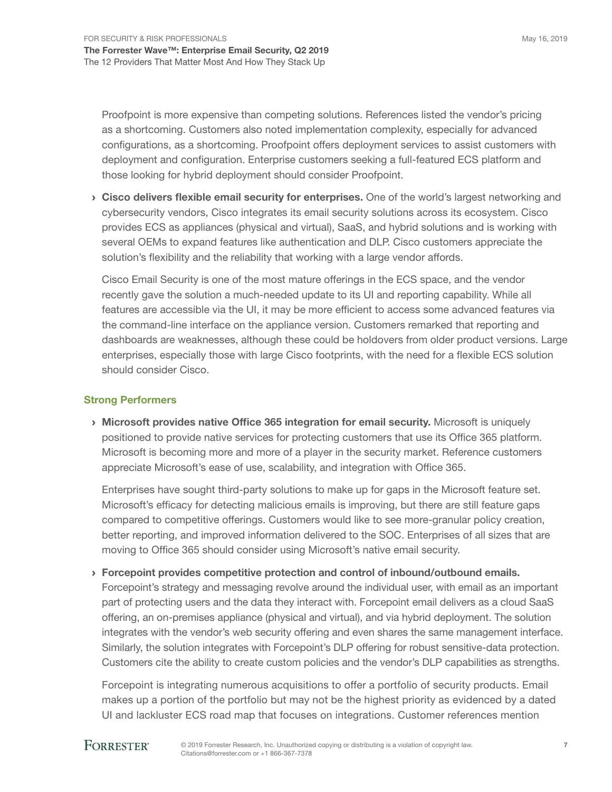Proofpoint is more expensive than competing solutions. References listed the vendor's pricing as a shortcoming. Customers also noted implementation complexity, especially for advanced configurations, as a shortcoming. Proofpoint offers deployment services to assist customers with deployment and configuration. Enterprise customers seeking a full-featured ECS platform and those looking for hybrid deployment should consider Proofpoint.

› Cisco delivers flexible email security for enterprises. One of the world's largest networking and cybersecurity vendors, Cisco integrates its email security solutions across its ecosystem. Cisco provides ECS as appliances (physical and virtual), SaaS, and hybrid solutions and is working with several OEMs to expand features like authentication and DLP. Cisco customers appreciate the solution's flexibility and the reliability that working with a large vendor affords.

Cisco Email Security is one of the most mature offerings in the ECS space, and the vendor recently gave the solution a much-needed update to its UI and reporting capability. While all features are accessible via the UI, it may be more efficient to access some advanced features via the command-line interface on the appliance version. Customers remarked that reporting and dashboards are weaknesses, although these could be holdovers from older product versions. Large enterprises, especially those with large Cisco footprints, with the need for a flexible ECS solution should consider Cisco.

### Strong Performers

› Microsoft provides native Office 365 integration for email security. Microsoft is uniquely positioned to provide native services for protecting customers that use its Office 365 platform. Microsoft is becoming more and more of a player in the security market. Reference customers appreciate Microsoft's ease of use, scalability, and integration with Office 365.

Enterprises have sought third-party solutions to make up for gaps in the Microsoft feature set. Microsoft's efficacy for detecting malicious emails is improving, but there are still feature gaps compared to competitive offerings. Customers would like to see more-granular policy creation, better reporting, and improved information delivered to the SOC. Enterprises of all sizes that are moving to Office 365 should consider using Microsoft's native email security.

› Forcepoint provides competitive protection and control of inbound/outbound emails. Forcepoint's strategy and messaging revolve around the individual user, with email as an important part of protecting users and the data they interact with. Forcepoint email delivers as a cloud SaaS offering, an on-premises appliance (physical and virtual), and via hybrid deployment. The solution integrates with the vendor's web security offering and even shares the same management interface. Similarly, the solution integrates with Forcepoint's DLP offering for robust sensitive-data protection. Customers cite the ability to create custom policies and the vendor's DLP capabilities as strengths.

Forcepoint is integrating numerous acquisitions to offer a portfolio of security products. Email makes up a portion of the portfolio but may not be the highest priority as evidenced by a dated UI and lackluster ECS road map that focuses on integrations. Customer references mention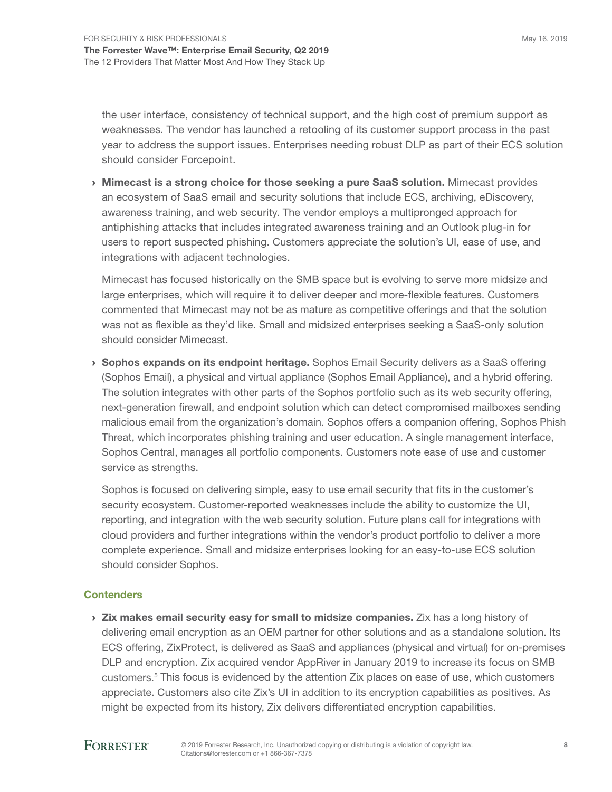the user interface, consistency of technical support, and the high cost of premium support as weaknesses. The vendor has launched a retooling of its customer support process in the past year to address the support issues. Enterprises needing robust DLP as part of their ECS solution should consider Forcepoint.

› Mimecast is a strong choice for those seeking a pure SaaS solution. Mimecast provides an ecosystem of SaaS email and security solutions that include ECS, archiving, eDiscovery, awareness training, and web security. The vendor employs a multipronged approach for antiphishing attacks that includes integrated awareness training and an Outlook plug-in for users to report suspected phishing. Customers appreciate the solution's UI, ease of use, and integrations with adjacent technologies.

Mimecast has focused historically on the SMB space but is evolving to serve more midsize and large enterprises, which will require it to deliver deeper and more-flexible features. Customers commented that Mimecast may not be as mature as competitive offerings and that the solution was not as flexible as they'd like. Small and midsized enterprises seeking a SaaS-only solution should consider Mimecast.

**Sophos expands on its endpoint heritage.** Sophos Email Security delivers as a SaaS offering (Sophos Email), a physical and virtual appliance (Sophos Email Appliance), and a hybrid offering. The solution integrates with other parts of the Sophos portfolio such as its web security offering, next-generation firewall, and endpoint solution which can detect compromised mailboxes sending malicious email from the organization's domain. Sophos offers a companion offering, Sophos Phish Threat, which incorporates phishing training and user education. A single management interface, Sophos Central, manages all portfolio components. Customers note ease of use and customer service as strengths.

Sophos is focused on delivering simple, easy to use email security that fits in the customer's security ecosystem. Customer-reported weaknesses include the ability to customize the UI, reporting, and integration with the web security solution. Future plans call for integrations with cloud providers and further integrations within the vendor's product portfolio to deliver a more complete experience. Small and midsize enterprises looking for an easy-to-use ECS solution should consider Sophos.

### **Contenders**

 $\rightarrow$  Zix makes email security easy for small to midsize companies. Zix has a long history of delivering email encryption as an OEM partner for other solutions and as a standalone solution. Its ECS offering, ZixProtect, is delivered as SaaS and appliances (physical and virtual) for on-premises DLP and encryption. Zix acquired vendor AppRiver in January 2019 to increase its focus on SMB customers.<sup>5</sup> This focus is evidenced by the attention Zix places on ease of use, which customers appreciate. Customers also cite Zix's UI in addition to its encryption capabilities as positives. As might be expected from its history, Zix delivers differentiated encryption capabilities.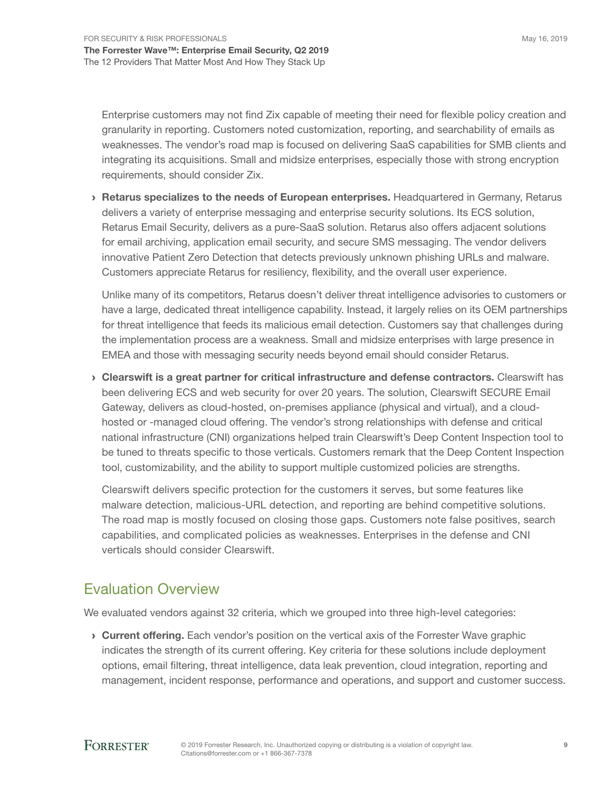Enterprise customers may not find Zix capable of meeting their need for flexible policy creation and granularity in reporting. Customers noted customization, reporting, and searchability of emails as weaknesses. The vendor's road map is focused on delivering SaaS capabilities for SMB clients and integrating its acquisitions. Small and midsize enterprises, especially those with strong encryption requirements, should consider Zix.

**EXEDEDED FIGHTS AT A RETARK SPECIALIZES TO the needs of European enterprises.** Headquartered in Germany, Retarus delivers a variety of enterprise messaging and enterprise security solutions. Its ECS solution, Retarus Email Security, delivers as a pure-SaaS solution. Retarus also offers adjacent solutions for email archiving, application email security, and secure SMS messaging. The vendor delivers innovative Patient Zero Detection that detects previously unknown phishing URLs and malware. Customers appreciate Retarus for resiliency, flexibility, and the overall user experience.

Unlike many of its competitors, Retarus doesn't deliver threat intelligence advisories to customers or have a large, dedicated threat intelligence capability. Instead, it largely relies on its OEM partnerships for threat intelligence that feeds its malicious email detection. Customers say that challenges during the implementation process are a weakness. Small and midsize enterprises with large presence in EMEA and those with messaging security needs beyond email should consider Retarus.

 $\rightarrow$  Clearswift is a great partner for critical infrastructure and defense contractors. Clearswift has been delivering ECS and web security for over 20 years. The solution, Clearswift SECURE Email Gateway, delivers as cloud-hosted, on-premises appliance (physical and virtual), and a cloudhosted or -managed cloud offering. The vendor's strong relationships with defense and critical national infrastructure (CNI) organizations helped train Clearswift's Deep Content Inspection tool to be tuned to threats specific to those verticals. Customers remark that the Deep Content Inspection tool, customizability, and the ability to support multiple customized policies are strengths.

Clearswift delivers specific protection for the customers it serves, but some features like malware detection, malicious-URL detection, and reporting are behind competitive solutions. The road map is mostly focused on closing those gaps. Customers note false positives, search capabilities, and complicated policies as weaknesses. Enterprises in the defense and CNI verticals should consider Clearswift.

## Evaluation Overview

We evaluated vendors against 32 criteria, which we grouped into three high-level categories:

**Current offering.** Each vendor's position on the vertical axis of the Forrester Wave graphic indicates the strength of its current offering. Key criteria for these solutions include deployment options, email filtering, threat intelligence, data leak prevention, cloud integration, reporting and management, incident response, performance and operations, and support and customer success.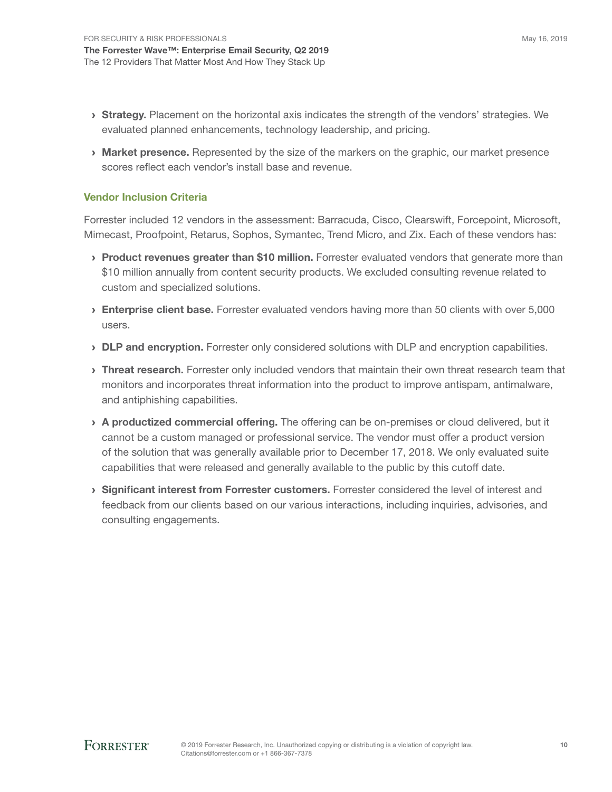- **Strategy.** Placement on the horizontal axis indicates the strength of the vendors' strategies. We evaluated planned enhancements, technology leadership, and pricing.
- **Market presence.** Represented by the size of the markers on the graphic, our market presence scores reflect each vendor's install base and revenue.

### Vendor Inclusion Criteria

Forrester included 12 vendors in the assessment: Barracuda, Cisco, Clearswift, Forcepoint, Microsoft, Mimecast, Proofpoint, Retarus, Sophos, Symantec, Trend Micro, and Zix. Each of these vendors has:

- > Product revenues greater than \$10 million. Forrester evaluated vendors that generate more than \$10 million annually from content security products. We excluded consulting revenue related to custom and specialized solutions.
- › Enterprise client base. Forrester evaluated vendors having more than 50 clients with over 5,000 users.
- **> DLP and encryption.** Forrester only considered solutions with DLP and encryption capabilities.
- > Threat research. Forrester only included vendors that maintain their own threat research team that monitors and incorporates threat information into the product to improve antispam, antimalware, and antiphishing capabilities.
- > A productized commercial offering. The offering can be on-premises or cloud delivered, but it cannot be a custom managed or professional service. The vendor must offer a product version of the solution that was generally available prior to December 17, 2018. We only evaluated suite capabilities that were released and generally available to the public by this cutoff date.
- › Significant interest from Forrester customers. Forrester considered the level of interest and feedback from our clients based on our various interactions, including inquiries, advisories, and consulting engagements.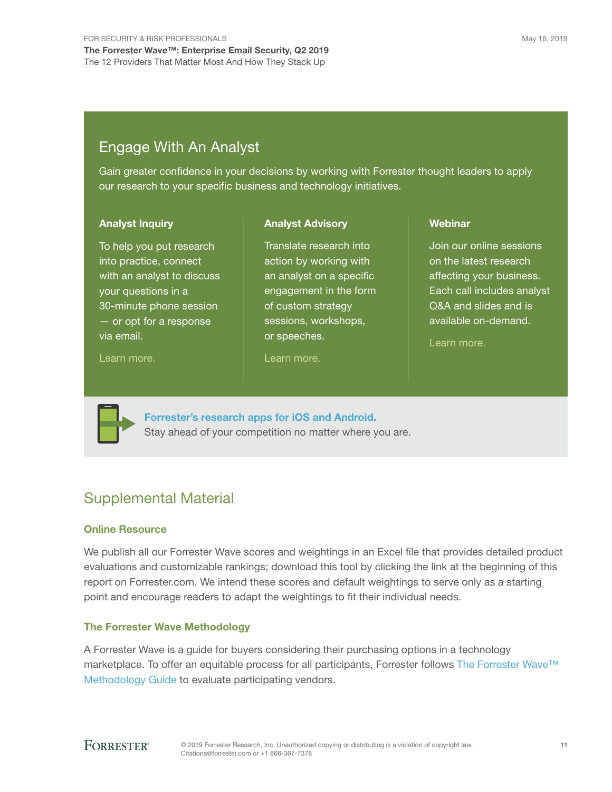## Engage With An Analyst

Gain greater confidence in your decisions by working with Forrester thought leaders to apply our research to your specific business and technology initiatives.

> Translate research into action by working with an analyst on a specific engagement in the form

sessions, workshops,

Analyst Advisory

#### Analyst Inquiry

To help you put research into practice, connect with an analyst to discuss your questions in a 30-minute phone session — or opt for a response via email.

[Learn more.](http://forr.com/1einFan)

of custom strategy

or speeches.

#### [Learn more.](http://www.forrester.com/Analyst-Advisory/-/E-MPL172)

**Webinar** 

Join our online sessions on the latest research affecting your business. Each call includes analyst Q&A and slides and is available on-demand.

[Learn more](https://www.forrester.com/events?N=10006+5025).



[Forrester's research apps for iOS and Android.](http://www.forrester.com/app) Stay ahead of your competition no matter where you are.

## Supplemental Material

#### Online Resource

We publish all our Forrester Wave scores and weightings in an Excel file that provides detailed product evaluations and customizable rankings; download this tool by clicking the link at the beginning of this report on Forrester.com. We intend these scores and default weightings to serve only as a starting point and encourage readers to adapt the weightings to fit their individual needs.

### The Forrester Wave Methodology

A Forrester Wave is a guide for buyers considering their purchasing options in a technology marketplace. To offer an equitable process for all participants, Forrester follows The Forrester Wave™ [Methodology Guide](https://www.forrester.com/marketing/policies/forrester-wave-methodology.html) to evaluate participating vendors.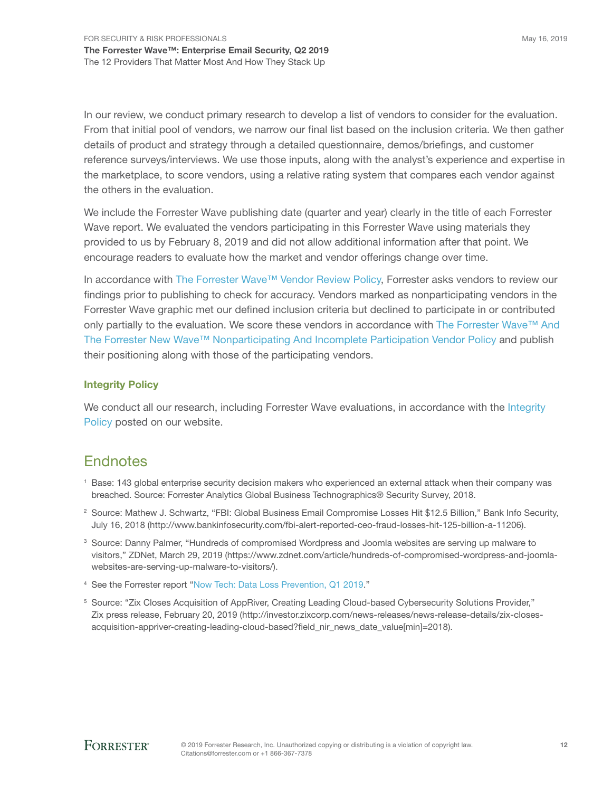In our review, we conduct primary research to develop a list of vendors to consider for the evaluation. From that initial pool of vendors, we narrow our final list based on the inclusion criteria. We then gather details of product and strategy through a detailed questionnaire, demos/briefings, and customer reference surveys/interviews. We use those inputs, along with the analyst's experience and expertise in the marketplace, to score vendors, using a relative rating system that compares each vendor against the others in the evaluation.

We include the Forrester Wave publishing date (quarter and year) clearly in the title of each Forrester Wave report. We evaluated the vendors participating in this Forrester Wave using materials they provided to us by February 8, 2019 and did not allow additional information after that point. We encourage readers to evaluate how the market and vendor offerings change over time.

In accordance with [The Forrester Wave™ Vendor Review Policy](https://www.forrester.com/marketing/policies/wave-vendor-review-policy.html), Forrester asks vendors to review our findings prior to publishing to check for accuracy. Vendors marked as nonparticipating vendors in the Forrester Wave graphic met our defined inclusion criteria but declined to participate in or contributed only partially to the evaluation. We score these vendors in accordance with The Forrester Wave™ And [The Forrester New Wave™ Nonparticipating And Incomplete Participation Vendor Policy](https://www.forrester.com/marketing/policies/wave-vendor-nonparticipation-policy.html) and publish their positioning along with those of the participating vendors.

### Integrity Policy

We conduct all our research, including Forrester Wave evaluations, in accordance with the Integrity [Policy](http://www.forrester.com/marketing/policies/integrity-policy.html) posted on our website.

## **Endnotes**

- <sup>1</sup> Base: 143 global enterprise security decision makers who experienced an external attack when their company was breached. Source: Forrester Analytics Global Business Technographics® Security Survey, 2018.
- 2 Source: Mathew J. Schwartz, "FBI: Global Business Email Compromise Losses Hit \$12.5 Billion," Bank Info Security, July 16, 2018 (http://www.bankinfosecurity.com/fbi-alert-reported-ceo-fraud-losses-hit-125-billion-a-11206).
- 3 Source: Danny Palmer, "Hundreds of compromised Wordpress and Joomla websites are serving up malware to visitors," ZDNet, March 29, 2019 (https://www.zdnet.com/article/hundreds-of-compromised-wordpress-and-joomlawebsites-are-serving-up-malware-to-visitors/).
- 4 See the Forrester report "[Now Tech: Data Loss Prevention, Q1 2019.](http://www.forrester.com/go?objectid=RES141687)"
- 5 Source: "Zix Closes Acquisition of AppRiver, Creating Leading Cloud-based Cybersecurity Solutions Provider," Zix press release, February 20, 2019 (http://investor.zixcorp.com/news-releases/news-release-details/zix-closesacquisition-appriver-creating-leading-cloud-based?field\_nir\_news\_date\_value[min]=2018).